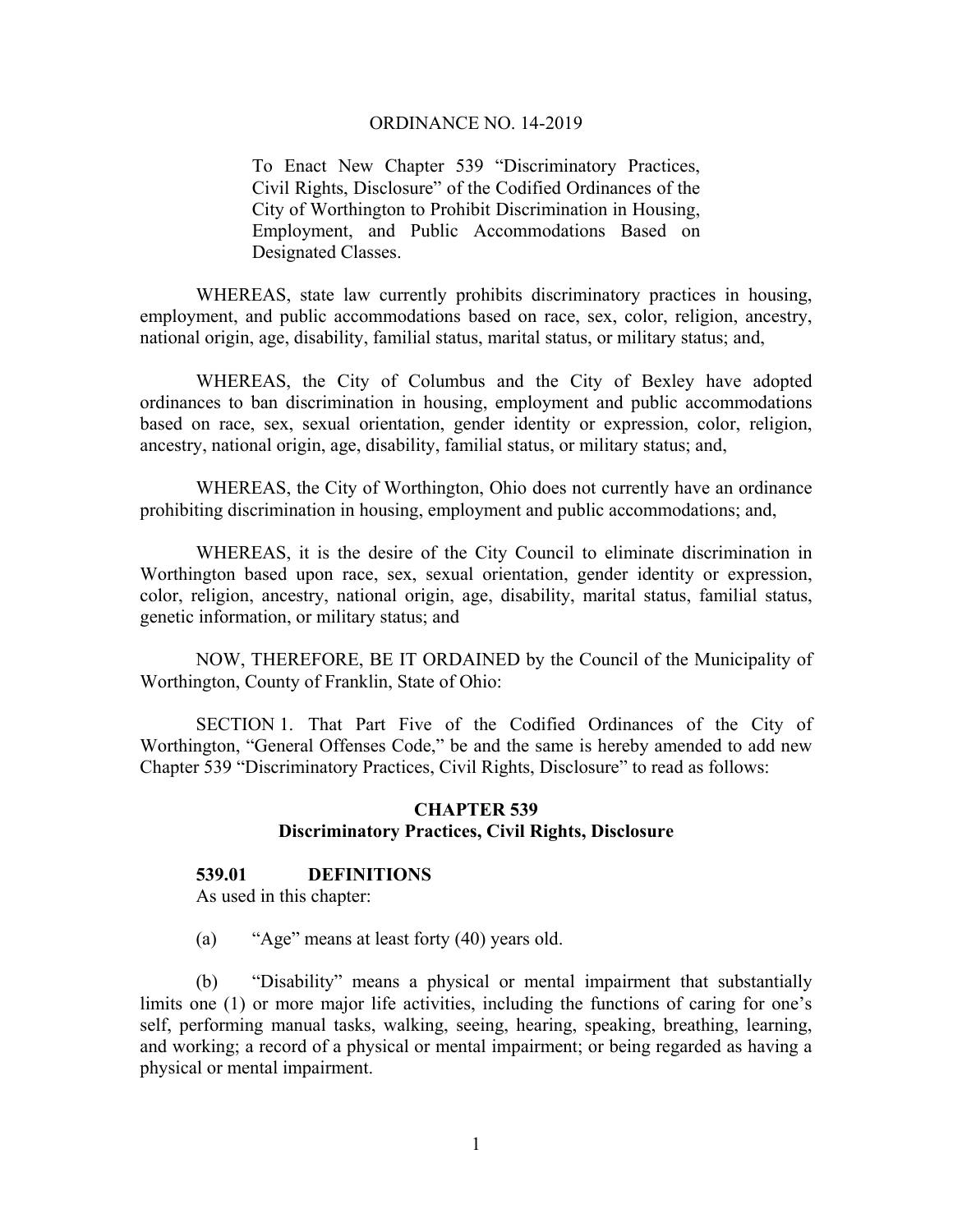To Enact New Chapter 539 "Discriminatory Practices, Civil Rights, Disclosure" of the Codified Ordinances of the City of Worthington to Prohibit Discrimination in Housing, Employment, and Public Accommodations Based on Designated Classes.

 WHEREAS, state law currently prohibits discriminatory practices in housing, employment, and public accommodations based on race, sex, color, religion, ancestry, national origin, age, disability, familial status, marital status, or military status; and,

WHEREAS, the City of Columbus and the City of Bexley have adopted ordinances to ban discrimination in housing, employment and public accommodations based on race, sex, sexual orientation, gender identity or expression, color, religion, ancestry, national origin, age, disability, familial status, or military status; and,

WHEREAS, the City of Worthington, Ohio does not currently have an ordinance prohibiting discrimination in housing, employment and public accommodations; and,

WHEREAS, it is the desire of the City Council to eliminate discrimination in Worthington based upon race, sex, sexual orientation, gender identity or expression, color, religion, ancestry, national origin, age, disability, marital status, familial status, genetic information, or military status; and

 NOW, THEREFORE, BE IT ORDAINED by the Council of the Municipality of Worthington, County of Franklin, State of Ohio:

 SECTION 1. That Part Five of the Codified Ordinances of the City of Worthington, "General Offenses Code," be and the same is hereby amended to add new Chapter 539 "Discriminatory Practices, Civil Rights, Disclosure" to read as follows:

## **CHAPTER 539 Discriminatory Practices, Civil Rights, Disclosure**

### **539.01 DEFINITIONS**

As used in this chapter:

(a) "Age" means at least forty (40) years old.

(b) "Disability" means a physical or mental impairment that substantially limits one (1) or more major life activities, including the functions of caring for one's self, performing manual tasks, walking, seeing, hearing, speaking, breathing, learning, and working; a record of a physical or mental impairment; or being regarded as having a physical or mental impairment.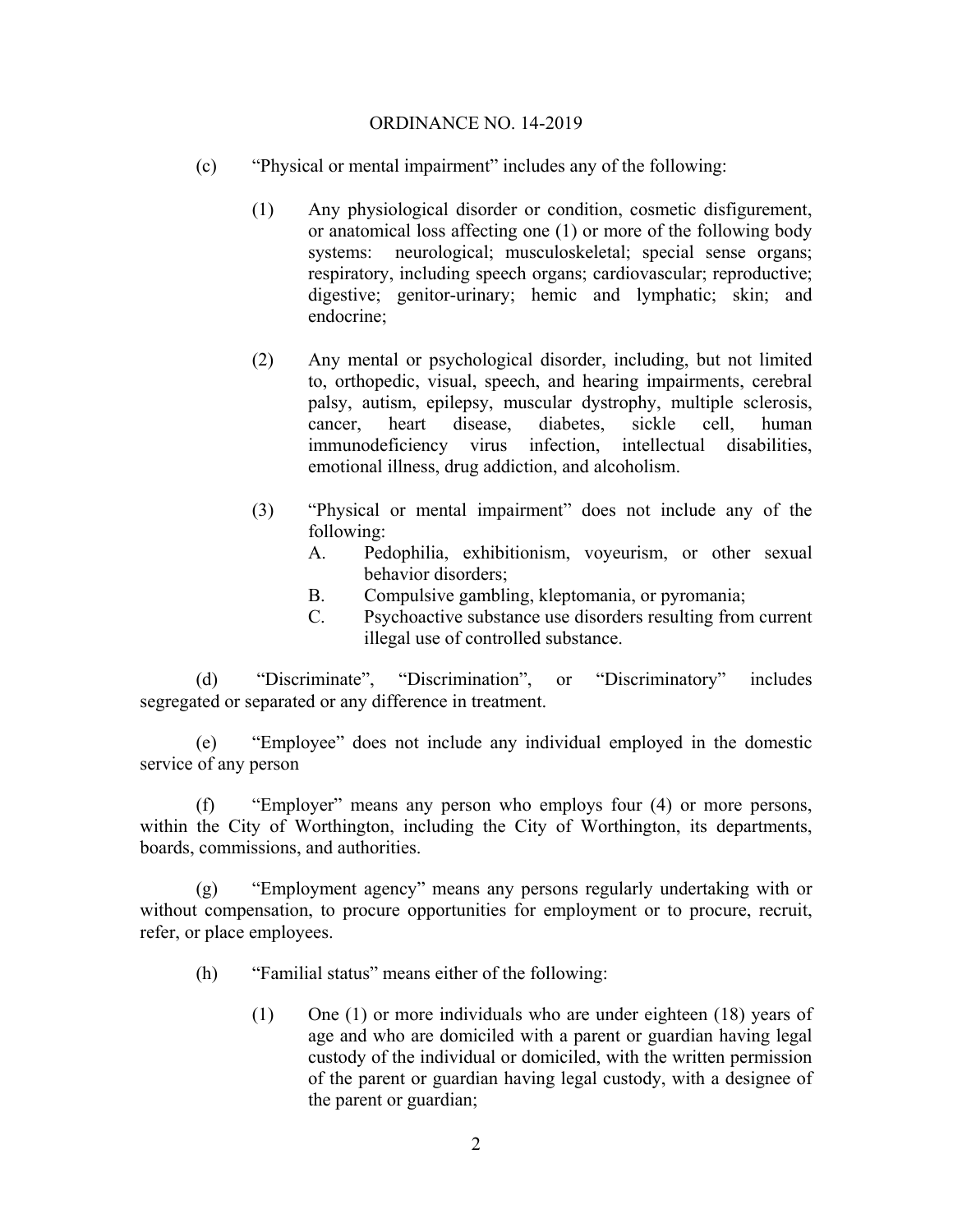- (c) "Physical or mental impairment" includes any of the following:
	- (1) Any physiological disorder or condition, cosmetic disfigurement, or anatomical loss affecting one (1) or more of the following body systems: neurological; musculoskeletal; special sense organs; respiratory, including speech organs; cardiovascular; reproductive; digestive; genitor-urinary; hemic and lymphatic; skin; and endocrine;
	- (2) Any mental or psychological disorder, including, but not limited to, orthopedic, visual, speech, and hearing impairments, cerebral palsy, autism, epilepsy, muscular dystrophy, multiple sclerosis, cancer, heart disease, diabetes, sickle cell, human immunodeficiency virus infection, intellectual disabilities, emotional illness, drug addiction, and alcoholism.
	- (3) "Physical or mental impairment" does not include any of the following:
		- A. Pedophilia, exhibitionism, voyeurism, or other sexual behavior disorders;
		- B. Compulsive gambling, kleptomania, or pyromania;
		- C. Psychoactive substance use disorders resulting from current illegal use of controlled substance.

(d) "Discriminate", "Discrimination", or "Discriminatory" includes segregated or separated or any difference in treatment.

(e) "Employee" does not include any individual employed in the domestic service of any person

(f) "Employer" means any person who employs four (4) or more persons, within the City of Worthington, including the City of Worthington, its departments, boards, commissions, and authorities.

(g) "Employment agency" means any persons regularly undertaking with or without compensation, to procure opportunities for employment or to procure, recruit, refer, or place employees.

- (h) "Familial status" means either of the following:
	- (1) One (1) or more individuals who are under eighteen (18) years of age and who are domiciled with a parent or guardian having legal custody of the individual or domiciled, with the written permission of the parent or guardian having legal custody, with a designee of the parent or guardian;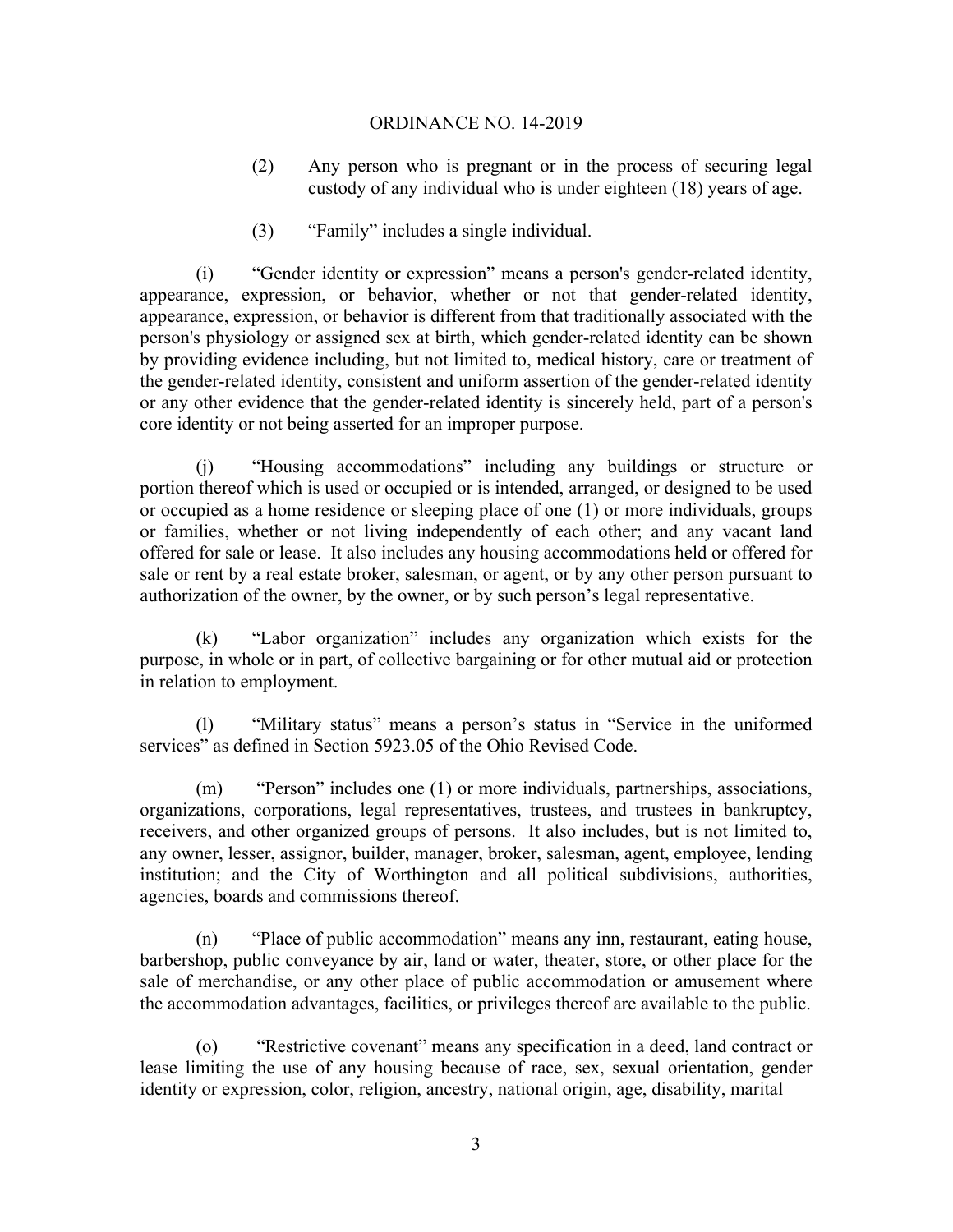- (2) Any person who is pregnant or in the process of securing legal custody of any individual who is under eighteen (18) years of age.
- (3) "Family" includes a single individual.

(i) "Gender identity or expression" means a person's gender-related identity, appearance, expression, or behavior, whether or not that gender-related identity, appearance, expression, or behavior is different from that traditionally associated with the person's physiology or assigned sex at birth, which gender-related identity can be shown by providing evidence including, but not limited to, medical history, care or treatment of the gender-related identity, consistent and uniform assertion of the gender-related identity or any other evidence that the gender-related identity is sincerely held, part of a person's core identity or not being asserted for an improper purpose.

(j) "Housing accommodations" including any buildings or structure or portion thereof which is used or occupied or is intended, arranged, or designed to be used or occupied as a home residence or sleeping place of one (1) or more individuals, groups or families, whether or not living independently of each other; and any vacant land offered for sale or lease. It also includes any housing accommodations held or offered for sale or rent by a real estate broker, salesman, or agent, or by any other person pursuant to authorization of the owner, by the owner, or by such person's legal representative.

(k) "Labor organization" includes any organization which exists for the purpose, in whole or in part, of collective bargaining or for other mutual aid or protection in relation to employment.

(l) "Military status" means a person's status in "Service in the uniformed services" as defined in Section 5923.05 of the Ohio Revised Code.

(m) "Person" includes one (1) or more individuals, partnerships, associations, organizations, corporations, legal representatives, trustees, and trustees in bankruptcy, receivers, and other organized groups of persons. It also includes, but is not limited to, any owner, lesser, assignor, builder, manager, broker, salesman, agent, employee, lending institution; and the City of Worthington and all political subdivisions, authorities, agencies, boards and commissions thereof.

(n) "Place of public accommodation" means any inn, restaurant, eating house, barbershop, public conveyance by air, land or water, theater, store, or other place for the sale of merchandise, or any other place of public accommodation or amusement where the accommodation advantages, facilities, or privileges thereof are available to the public.

(o) "Restrictive covenant" means any specification in a deed, land contract or lease limiting the use of any housing because of race, sex, sexual orientation, gender identity or expression, color, religion, ancestry, national origin, age, disability, marital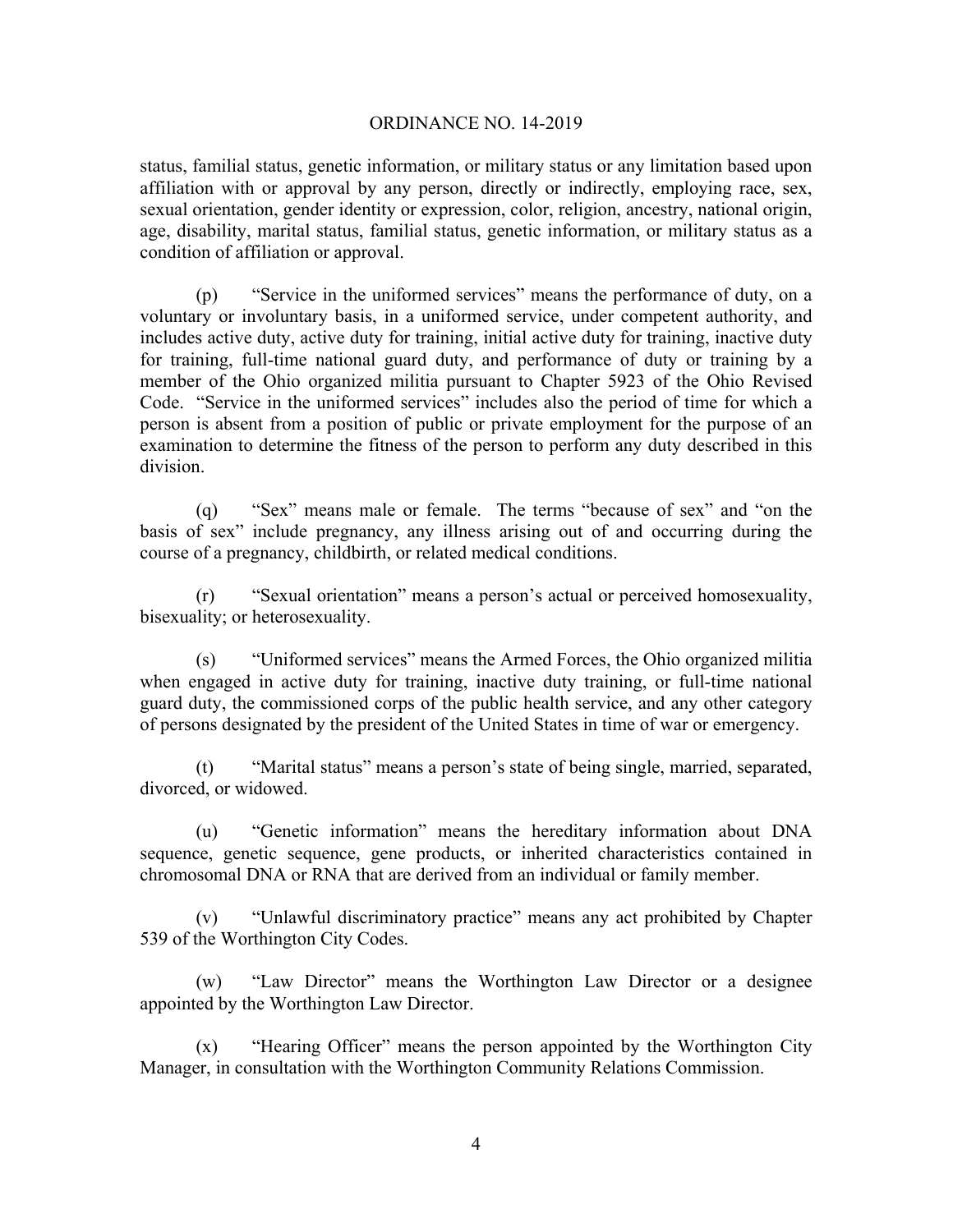status, familial status, genetic information, or military status or any limitation based upon affiliation with or approval by any person, directly or indirectly, employing race, sex, sexual orientation, gender identity or expression, color, religion, ancestry, national origin, age, disability, marital status, familial status, genetic information, or military status as a condition of affiliation or approval.

(p) "Service in the uniformed services" means the performance of duty, on a voluntary or involuntary basis, in a uniformed service, under competent authority, and includes active duty, active duty for training, initial active duty for training, inactive duty for training, full-time national guard duty, and performance of duty or training by a member of the Ohio organized militia pursuant to Chapter 5923 of the Ohio Revised Code. "Service in the uniformed services" includes also the period of time for which a person is absent from a position of public or private employment for the purpose of an examination to determine the fitness of the person to perform any duty described in this division.

(q) "Sex" means male or female. The terms "because of sex" and "on the basis of sex" include pregnancy, any illness arising out of and occurring during the course of a pregnancy, childbirth, or related medical conditions.

(r) "Sexual orientation" means a person's actual or perceived homosexuality, bisexuality; or heterosexuality.

(s) "Uniformed services" means the Armed Forces, the Ohio organized militia when engaged in active duty for training, inactive duty training, or full-time national guard duty, the commissioned corps of the public health service, and any other category of persons designated by the president of the United States in time of war or emergency.

(t) "Marital status" means a person's state of being single, married, separated, divorced, or widowed.

(u) "Genetic information" means the hereditary information about DNA sequence, genetic sequence, gene products, or inherited characteristics contained in chromosomal DNA or RNA that are derived from an individual or family member.

(v) "Unlawful discriminatory practice" means any act prohibited by Chapter 539 of the Worthington City Codes.

(w) "Law Director" means the Worthington Law Director or a designee appointed by the Worthington Law Director.

(x) "Hearing Officer" means the person appointed by the Worthington City Manager, in consultation with the Worthington Community Relations Commission.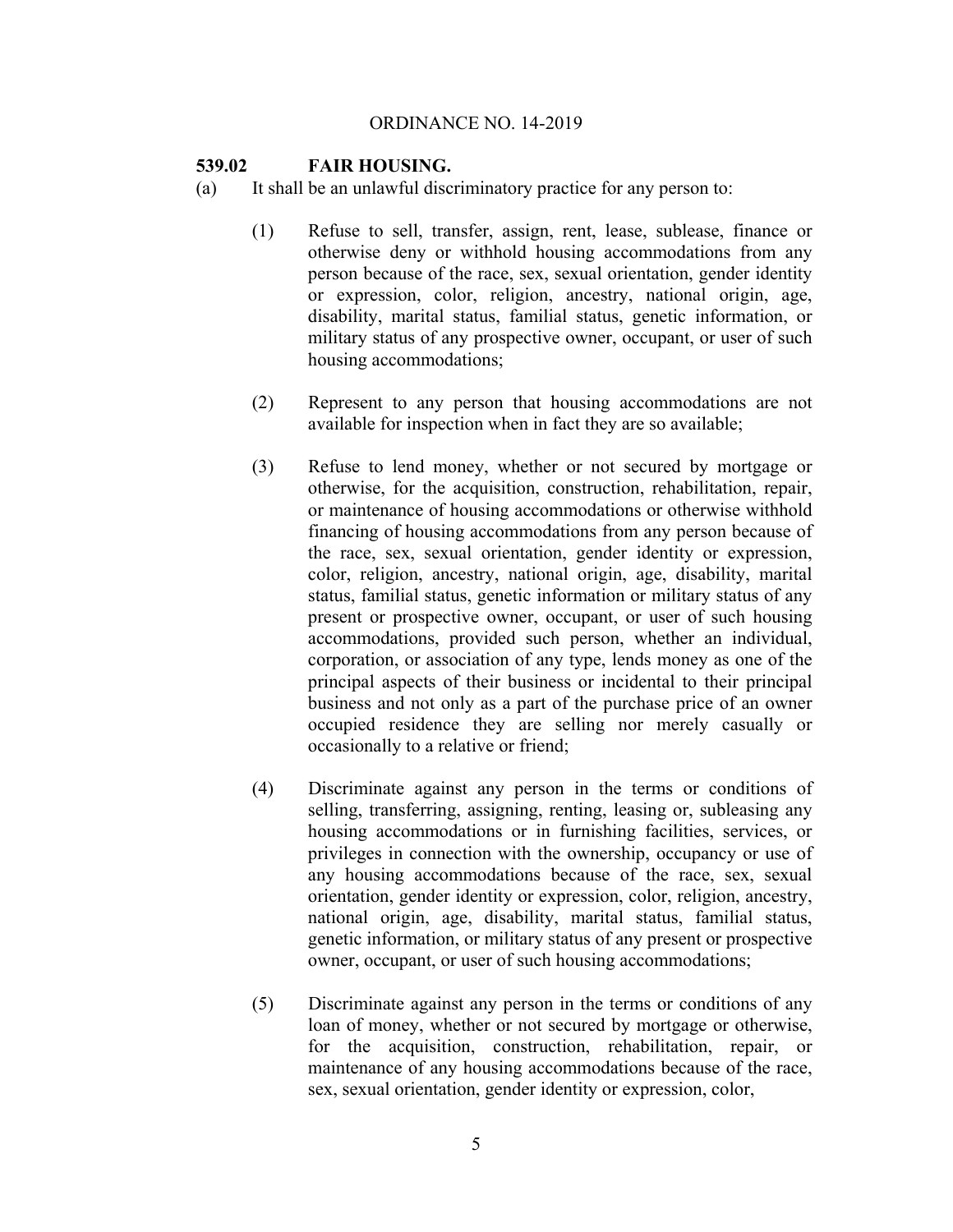## **539.02 FAIR HOUSING.**

- (a) It shall be an unlawful discriminatory practice for any person to:
	- (1) Refuse to sell, transfer, assign, rent, lease, sublease, finance or otherwise deny or withhold housing accommodations from any person because of the race, sex, sexual orientation, gender identity or expression, color, religion, ancestry, national origin, age, disability, marital status, familial status, genetic information, or military status of any prospective owner, occupant, or user of such housing accommodations;
	- (2) Represent to any person that housing accommodations are not available for inspection when in fact they are so available;
	- (3) Refuse to lend money, whether or not secured by mortgage or otherwise, for the acquisition, construction, rehabilitation, repair, or maintenance of housing accommodations or otherwise withhold financing of housing accommodations from any person because of the race, sex, sexual orientation, gender identity or expression, color, religion, ancestry, national origin, age, disability, marital status, familial status, genetic information or military status of any present or prospective owner, occupant, or user of such housing accommodations, provided such person, whether an individual, corporation, or association of any type, lends money as one of the principal aspects of their business or incidental to their principal business and not only as a part of the purchase price of an owner occupied residence they are selling nor merely casually or occasionally to a relative or friend;
	- (4) Discriminate against any person in the terms or conditions of selling, transferring, assigning, renting, leasing or, subleasing any housing accommodations or in furnishing facilities, services, or privileges in connection with the ownership, occupancy or use of any housing accommodations because of the race, sex, sexual orientation, gender identity or expression, color, religion, ancestry, national origin, age, disability, marital status, familial status, genetic information, or military status of any present or prospective owner, occupant, or user of such housing accommodations;
	- (5) Discriminate against any person in the terms or conditions of any loan of money, whether or not secured by mortgage or otherwise, for the acquisition, construction, rehabilitation, repair, or maintenance of any housing accommodations because of the race, sex, sexual orientation, gender identity or expression, color,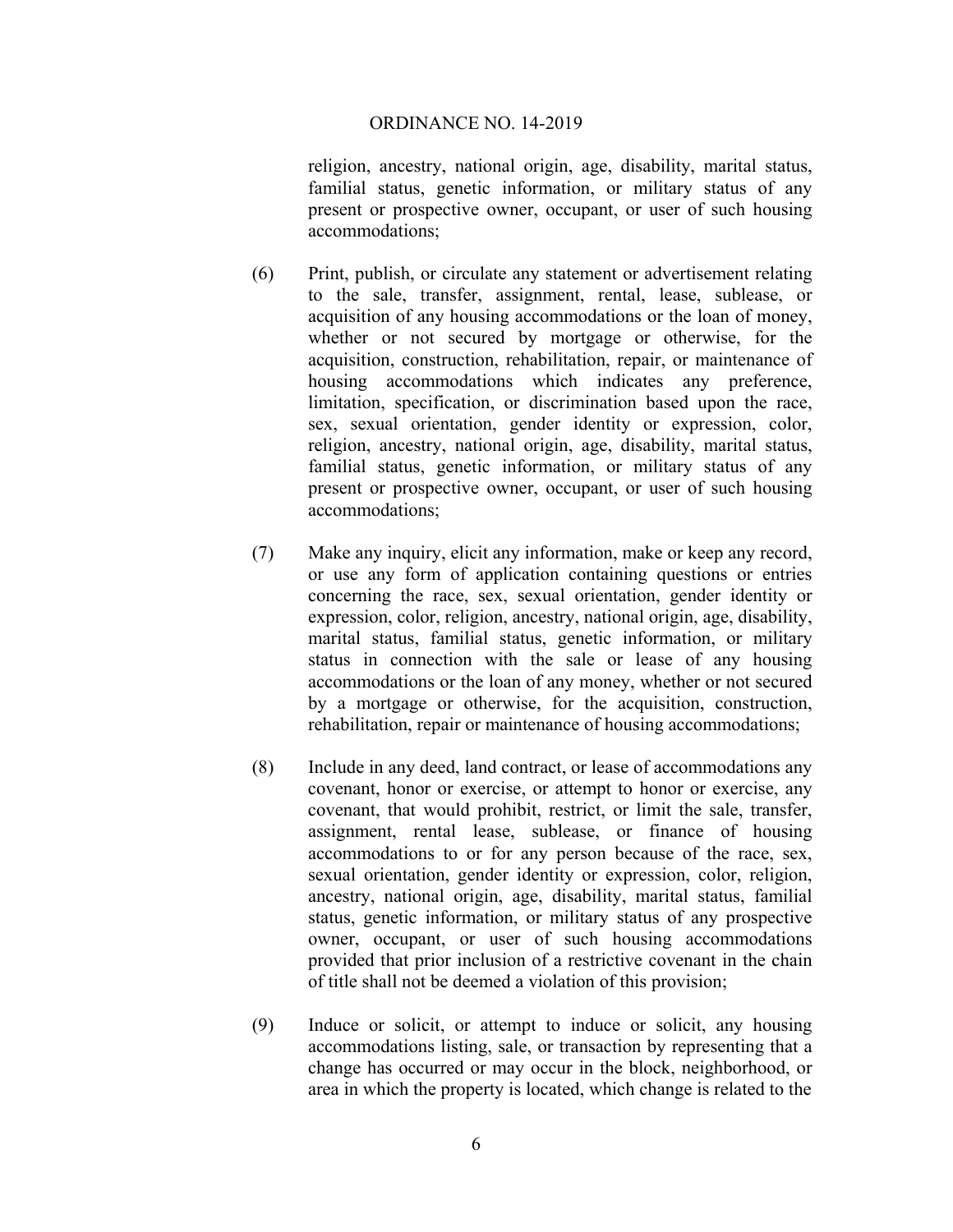religion, ancestry, national origin, age, disability, marital status, familial status, genetic information, or military status of any present or prospective owner, occupant, or user of such housing accommodations;

- (6) Print, publish, or circulate any statement or advertisement relating to the sale, transfer, assignment, rental, lease, sublease, or acquisition of any housing accommodations or the loan of money, whether or not secured by mortgage or otherwise, for the acquisition, construction, rehabilitation, repair, or maintenance of housing accommodations which indicates any preference, limitation, specification, or discrimination based upon the race, sex, sexual orientation, gender identity or expression, color, religion, ancestry, national origin, age, disability, marital status, familial status, genetic information, or military status of any present or prospective owner, occupant, or user of such housing accommodations;
- (7) Make any inquiry, elicit any information, make or keep any record, or use any form of application containing questions or entries concerning the race, sex, sexual orientation, gender identity or expression, color, religion, ancestry, national origin, age, disability, marital status, familial status, genetic information, or military status in connection with the sale or lease of any housing accommodations or the loan of any money, whether or not secured by a mortgage or otherwise, for the acquisition, construction, rehabilitation, repair or maintenance of housing accommodations;
- (8) Include in any deed, land contract, or lease of accommodations any covenant, honor or exercise, or attempt to honor or exercise, any covenant, that would prohibit, restrict, or limit the sale, transfer, assignment, rental lease, sublease, or finance of housing accommodations to or for any person because of the race, sex, sexual orientation, gender identity or expression, color, religion, ancestry, national origin, age, disability, marital status, familial status, genetic information, or military status of any prospective owner, occupant, or user of such housing accommodations provided that prior inclusion of a restrictive covenant in the chain of title shall not be deemed a violation of this provision;
- (9) Induce or solicit, or attempt to induce or solicit, any housing accommodations listing, sale, or transaction by representing that a change has occurred or may occur in the block, neighborhood, or area in which the property is located, which change is related to the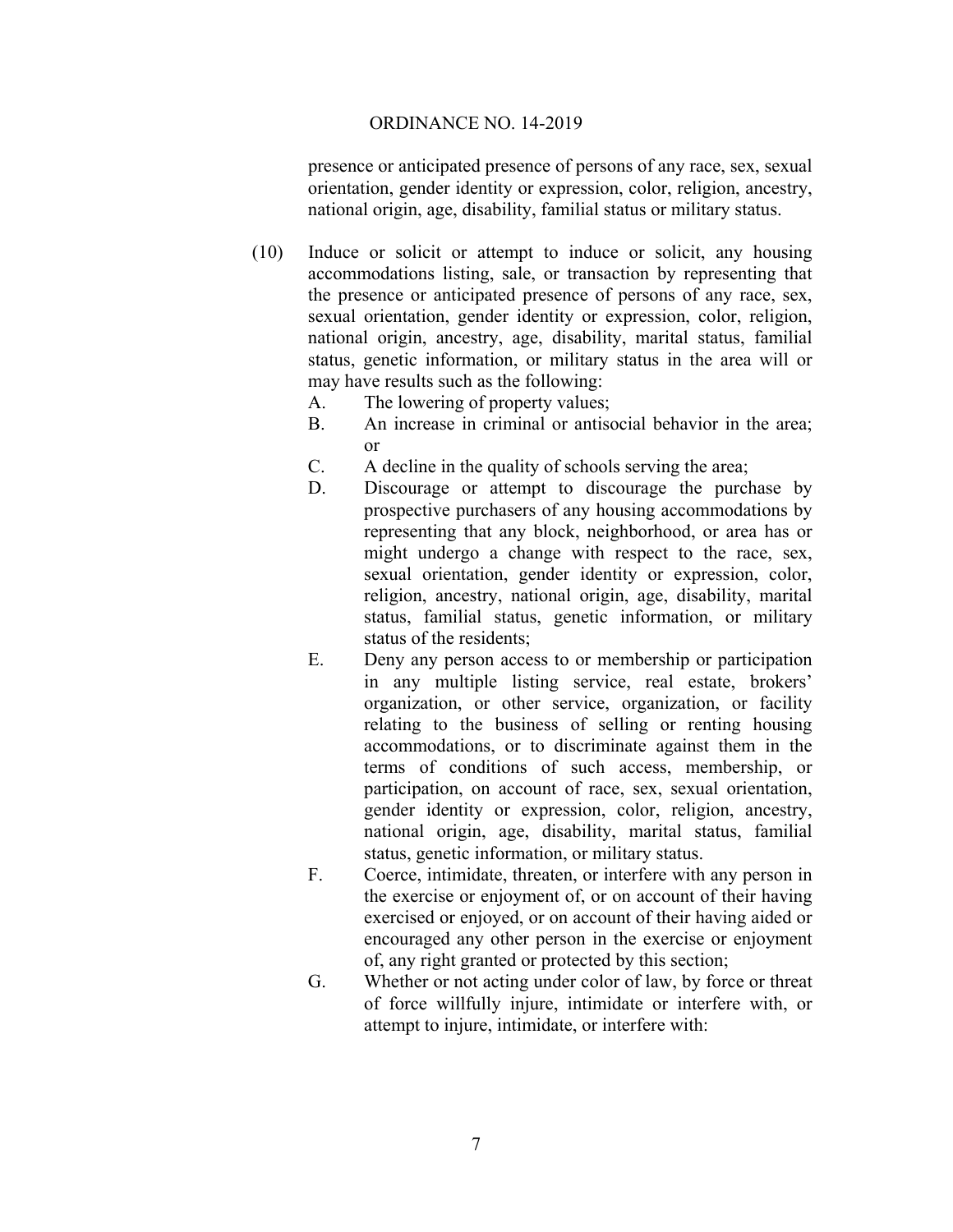presence or anticipated presence of persons of any race, sex, sexual orientation, gender identity or expression, color, religion, ancestry, national origin, age, disability, familial status or military status.

- (10) Induce or solicit or attempt to induce or solicit, any housing accommodations listing, sale, or transaction by representing that the presence or anticipated presence of persons of any race, sex, sexual orientation, gender identity or expression, color, religion, national origin, ancestry, age, disability, marital status, familial status, genetic information, or military status in the area will or may have results such as the following:
	- A. The lowering of property values;
	- B. An increase in criminal or antisocial behavior in the area; or
	- C. A decline in the quality of schools serving the area;
	- D. Discourage or attempt to discourage the purchase by prospective purchasers of any housing accommodations by representing that any block, neighborhood, or area has or might undergo a change with respect to the race, sex, sexual orientation, gender identity or expression, color, religion, ancestry, national origin, age, disability, marital status, familial status, genetic information, or military status of the residents;
	- E. Deny any person access to or membership or participation in any multiple listing service, real estate, brokers' organization, or other service, organization, or facility relating to the business of selling or renting housing accommodations, or to discriminate against them in the terms of conditions of such access, membership, or participation, on account of race, sex, sexual orientation, gender identity or expression, color, religion, ancestry, national origin, age, disability, marital status, familial status, genetic information, or military status.
	- F. Coerce, intimidate, threaten, or interfere with any person in the exercise or enjoyment of, or on account of their having exercised or enjoyed, or on account of their having aided or encouraged any other person in the exercise or enjoyment of, any right granted or protected by this section;
	- G. Whether or not acting under color of law, by force or threat of force willfully injure, intimidate or interfere with, or attempt to injure, intimidate, or interfere with: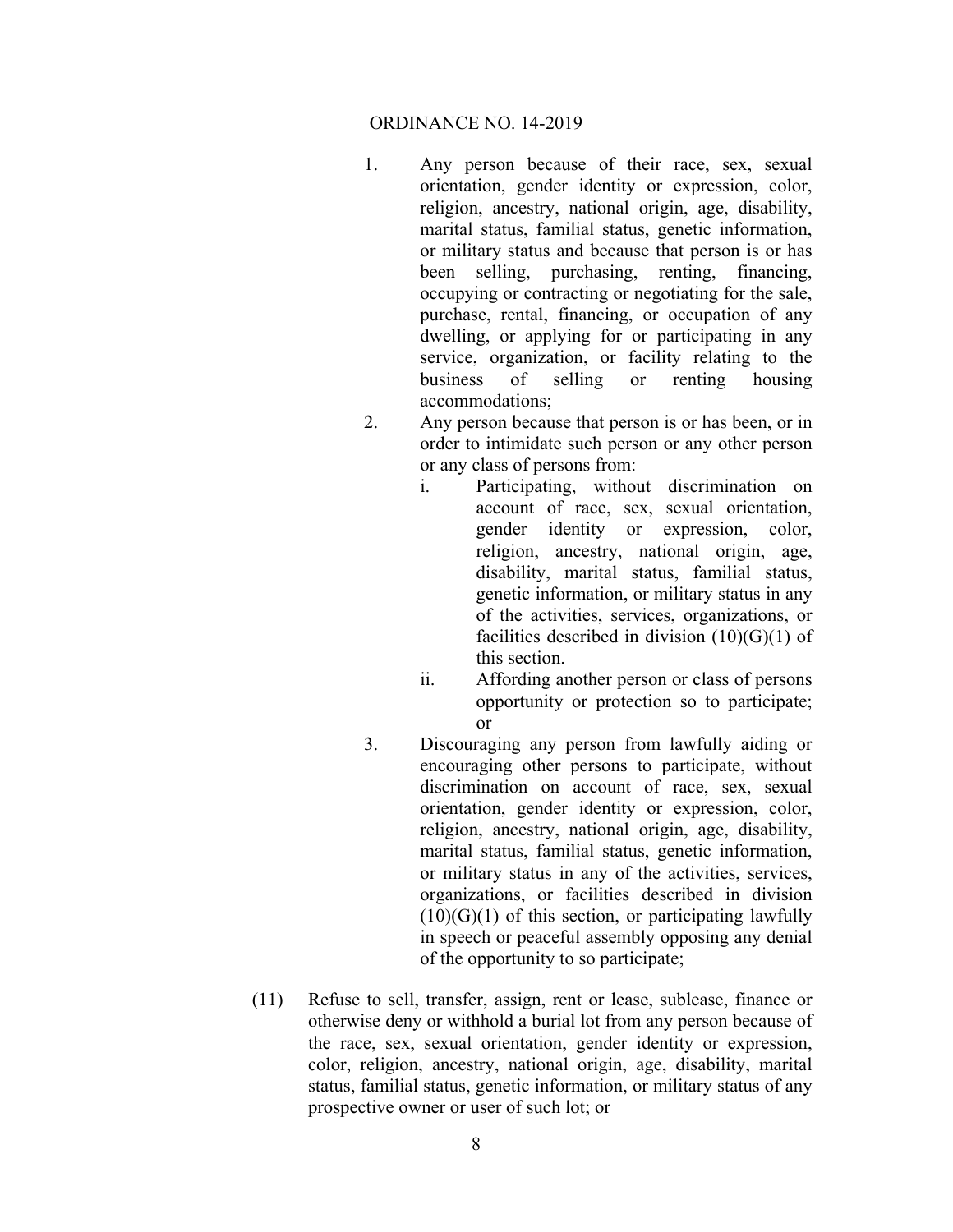- 1. Any person because of their race, sex, sexual orientation, gender identity or expression, color, religion, ancestry, national origin, age, disability, marital status, familial status, genetic information, or military status and because that person is or has been selling, purchasing, renting, financing, occupying or contracting or negotiating for the sale, purchase, rental, financing, or occupation of any dwelling, or applying for or participating in any service, organization, or facility relating to the business of selling or renting housing accommodations;
- 2. Any person because that person is or has been, or in order to intimidate such person or any other person or any class of persons from:
	- i. Participating, without discrimination on account of race, sex, sexual orientation, gender identity or expression, color, religion, ancestry, national origin, age, disability, marital status, familial status, genetic information, or military status in any of the activities, services, organizations, or facilities described in division  $(10)(G)(1)$  of this section.
	- ii. Affording another person or class of persons opportunity or protection so to participate; or
- 3. Discouraging any person from lawfully aiding or encouraging other persons to participate, without discrimination on account of race, sex, sexual orientation, gender identity or expression, color, religion, ancestry, national origin, age, disability, marital status, familial status, genetic information, or military status in any of the activities, services, organizations, or facilities described in division  $(10)(G)(1)$  of this section, or participating lawfully in speech or peaceful assembly opposing any denial of the opportunity to so participate;
- (11) Refuse to sell, transfer, assign, rent or lease, sublease, finance or otherwise deny or withhold a burial lot from any person because of the race, sex, sexual orientation, gender identity or expression, color, religion, ancestry, national origin, age, disability, marital status, familial status, genetic information, or military status of any prospective owner or user of such lot; or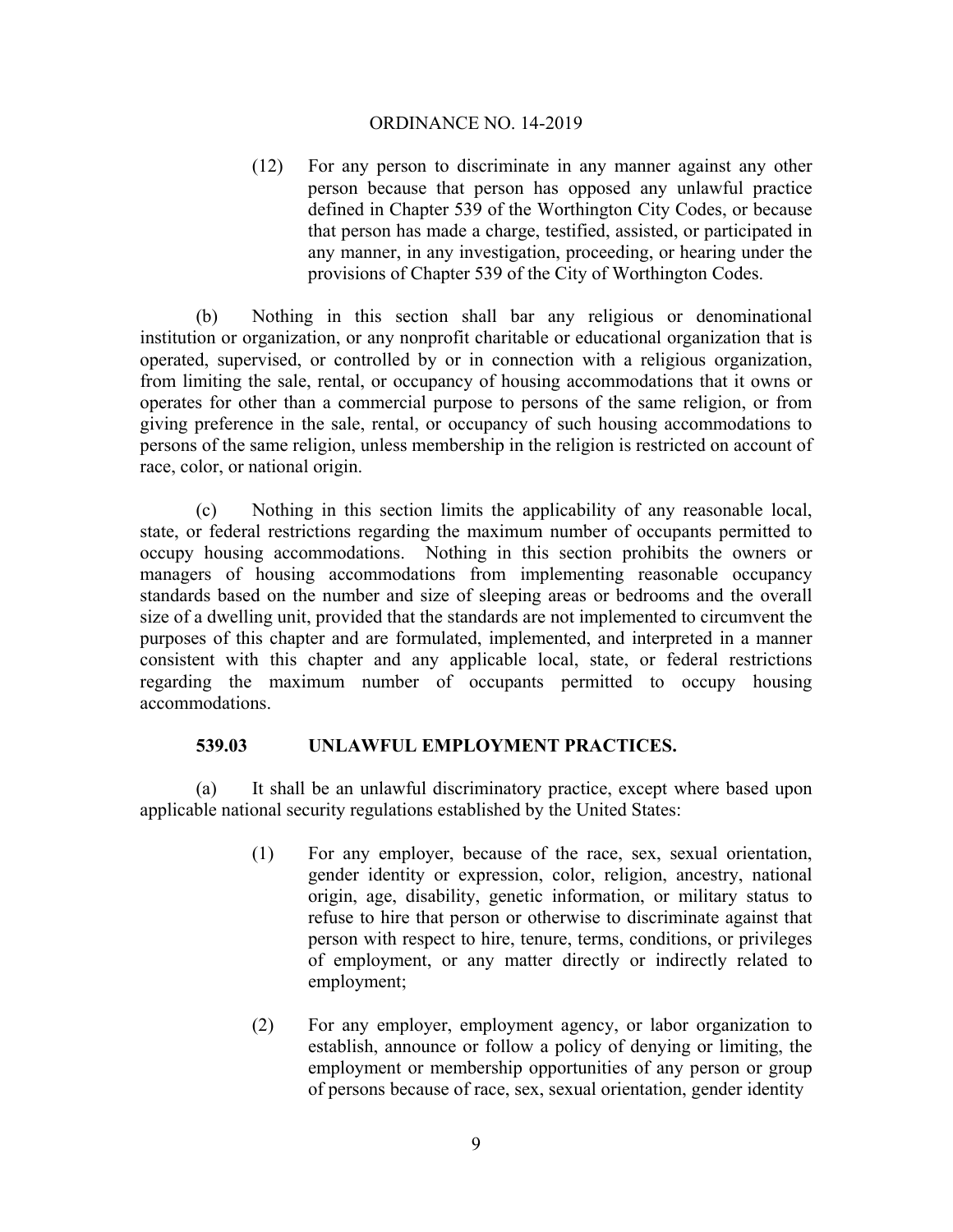(12) For any person to discriminate in any manner against any other person because that person has opposed any unlawful practice defined in Chapter 539 of the Worthington City Codes, or because that person has made a charge, testified, assisted, or participated in any manner, in any investigation, proceeding, or hearing under the provisions of Chapter 539 of the City of Worthington Codes.

(b) Nothing in this section shall bar any religious or denominational institution or organization, or any nonprofit charitable or educational organization that is operated, supervised, or controlled by or in connection with a religious organization, from limiting the sale, rental, or occupancy of housing accommodations that it owns or operates for other than a commercial purpose to persons of the same religion, or from giving preference in the sale, rental, or occupancy of such housing accommodations to persons of the same religion, unless membership in the religion is restricted on account of race, color, or national origin.

(c) Nothing in this section limits the applicability of any reasonable local, state, or federal restrictions regarding the maximum number of occupants permitted to occupy housing accommodations. Nothing in this section prohibits the owners or managers of housing accommodations from implementing reasonable occupancy standards based on the number and size of sleeping areas or bedrooms and the overall size of a dwelling unit, provided that the standards are not implemented to circumvent the purposes of this chapter and are formulated, implemented, and interpreted in a manner consistent with this chapter and any applicable local, state, or federal restrictions regarding the maximum number of occupants permitted to occupy housing accommodations.

## **539.03 UNLAWFUL EMPLOYMENT PRACTICES.**

(a) It shall be an unlawful discriminatory practice, except where based upon applicable national security regulations established by the United States:

- (1) For any employer, because of the race, sex, sexual orientation, gender identity or expression, color, religion, ancestry, national origin, age, disability, genetic information, or military status to refuse to hire that person or otherwise to discriminate against that person with respect to hire, tenure, terms, conditions, or privileges of employment, or any matter directly or indirectly related to employment;
- (2) For any employer, employment agency, or labor organization to establish, announce or follow a policy of denying or limiting, the employment or membership opportunities of any person or group of persons because of race, sex, sexual orientation, gender identity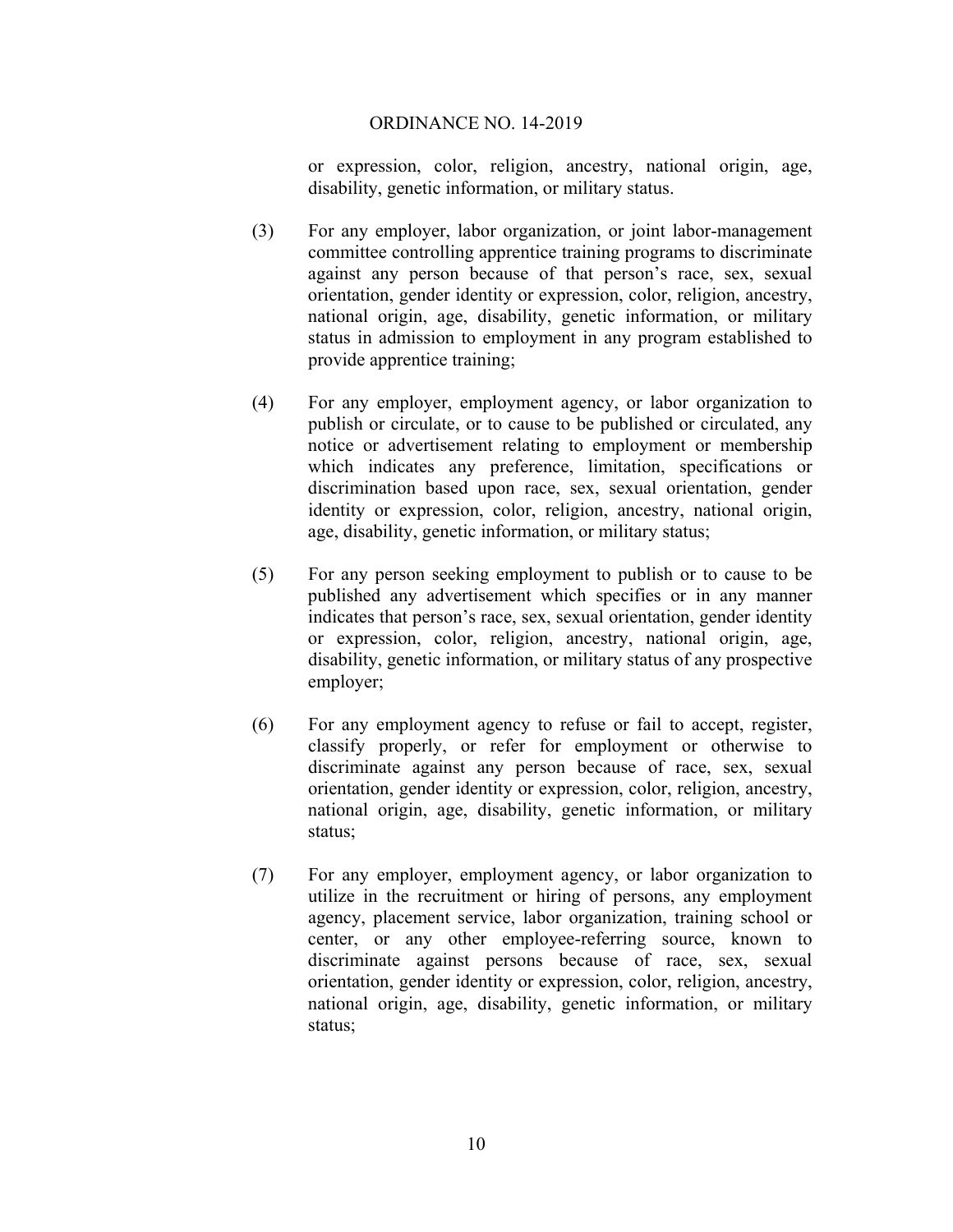or expression, color, religion, ancestry, national origin, age, disability, genetic information, or military status.

- (3) For any employer, labor organization, or joint labor-management committee controlling apprentice training programs to discriminate against any person because of that person's race, sex, sexual orientation, gender identity or expression, color, religion, ancestry, national origin, age, disability, genetic information, or military status in admission to employment in any program established to provide apprentice training;
- (4) For any employer, employment agency, or labor organization to publish or circulate, or to cause to be published or circulated, any notice or advertisement relating to employment or membership which indicates any preference, limitation, specifications or discrimination based upon race, sex, sexual orientation, gender identity or expression, color, religion, ancestry, national origin, age, disability, genetic information, or military status;
- (5) For any person seeking employment to publish or to cause to be published any advertisement which specifies or in any manner indicates that person's race, sex, sexual orientation, gender identity or expression, color, religion, ancestry, national origin, age, disability, genetic information, or military status of any prospective employer;
- (6) For any employment agency to refuse or fail to accept, register, classify properly, or refer for employment or otherwise to discriminate against any person because of race, sex, sexual orientation, gender identity or expression, color, religion, ancestry, national origin, age, disability, genetic information, or military status;
- (7) For any employer, employment agency, or labor organization to utilize in the recruitment or hiring of persons, any employment agency, placement service, labor organization, training school or center, or any other employee-referring source, known to discriminate against persons because of race, sex, sexual orientation, gender identity or expression, color, religion, ancestry, national origin, age, disability, genetic information, or military status;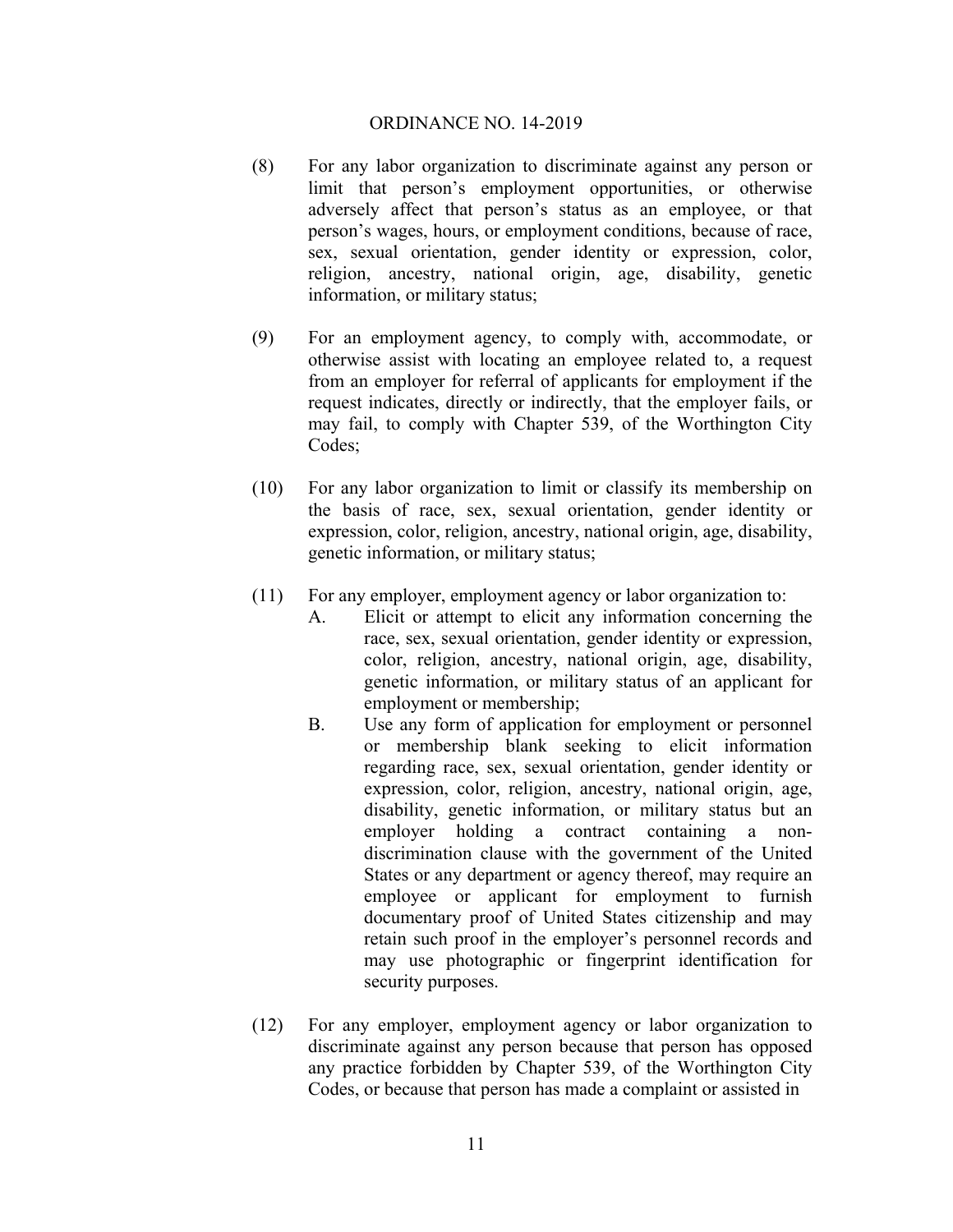- (8) For any labor organization to discriminate against any person or limit that person's employment opportunities, or otherwise adversely affect that person's status as an employee, or that person's wages, hours, or employment conditions, because of race, sex, sexual orientation, gender identity or expression, color, religion, ancestry, national origin, age, disability, genetic information, or military status;
- (9) For an employment agency, to comply with, accommodate, or otherwise assist with locating an employee related to, a request from an employer for referral of applicants for employment if the request indicates, directly or indirectly, that the employer fails, or may fail, to comply with Chapter 539, of the Worthington City Codes;
- (10) For any labor organization to limit or classify its membership on the basis of race, sex, sexual orientation, gender identity or expression, color, religion, ancestry, national origin, age, disability, genetic information, or military status;
- (11) For any employer, employment agency or labor organization to:
	- A. Elicit or attempt to elicit any information concerning the race, sex, sexual orientation, gender identity or expression, color, religion, ancestry, national origin, age, disability, genetic information, or military status of an applicant for employment or membership;
	- B. Use any form of application for employment or personnel or membership blank seeking to elicit information regarding race, sex, sexual orientation, gender identity or expression, color, religion, ancestry, national origin, age, disability, genetic information, or military status but an employer holding a contract containing a nondiscrimination clause with the government of the United States or any department or agency thereof, may require an employee or applicant for employment to furnish documentary proof of United States citizenship and may retain such proof in the employer's personnel records and may use photographic or fingerprint identification for security purposes.
- (12) For any employer, employment agency or labor organization to discriminate against any person because that person has opposed any practice forbidden by Chapter 539, of the Worthington City Codes, or because that person has made a complaint or assisted in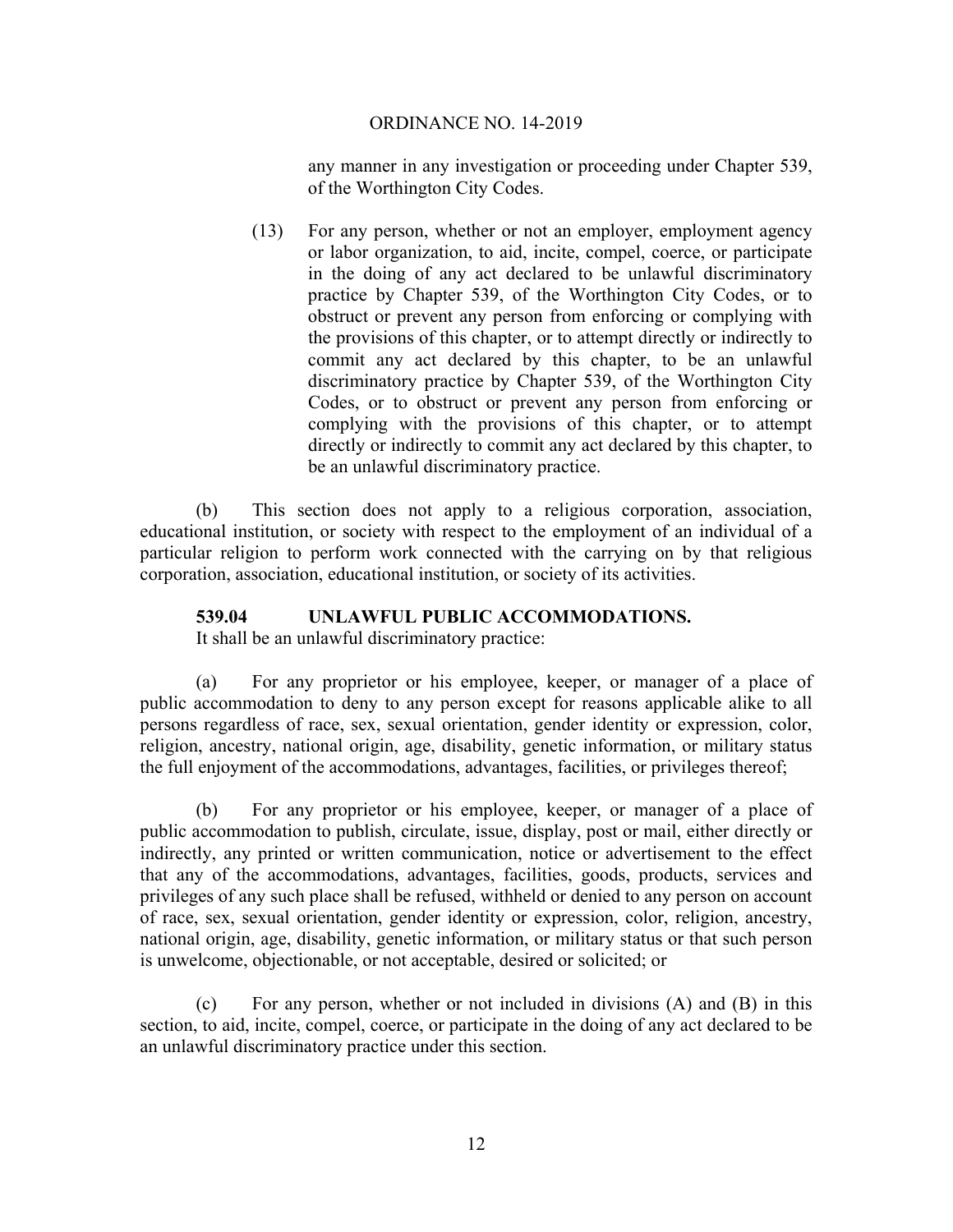any manner in any investigation or proceeding under Chapter 539, of the Worthington City Codes.

(13) For any person, whether or not an employer, employment agency or labor organization, to aid, incite, compel, coerce, or participate in the doing of any act declared to be unlawful discriminatory practice by Chapter 539, of the Worthington City Codes, or to obstruct or prevent any person from enforcing or complying with the provisions of this chapter, or to attempt directly or indirectly to commit any act declared by this chapter, to be an unlawful discriminatory practice by Chapter 539, of the Worthington City Codes, or to obstruct or prevent any person from enforcing or complying with the provisions of this chapter, or to attempt directly or indirectly to commit any act declared by this chapter, to be an unlawful discriminatory practice.

(b) This section does not apply to a religious corporation, association, educational institution, or society with respect to the employment of an individual of a particular religion to perform work connected with the carrying on by that religious corporation, association, educational institution, or society of its activities.

## **539.04 UNLAWFUL PUBLIC ACCOMMODATIONS.**

It shall be an unlawful discriminatory practice:

(a) For any proprietor or his employee, keeper, or manager of a place of public accommodation to deny to any person except for reasons applicable alike to all persons regardless of race, sex, sexual orientation, gender identity or expression, color, religion, ancestry, national origin, age, disability, genetic information, or military status the full enjoyment of the accommodations, advantages, facilities, or privileges thereof;

(b) For any proprietor or his employee, keeper, or manager of a place of public accommodation to publish, circulate, issue, display, post or mail, either directly or indirectly, any printed or written communication, notice or advertisement to the effect that any of the accommodations, advantages, facilities, goods, products, services and privileges of any such place shall be refused, withheld or denied to any person on account of race, sex, sexual orientation, gender identity or expression, color, religion, ancestry, national origin, age, disability, genetic information, or military status or that such person is unwelcome, objectionable, or not acceptable, desired or solicited; or

(c) For any person, whether or not included in divisions (A) and (B) in this section, to aid, incite, compel, coerce, or participate in the doing of any act declared to be an unlawful discriminatory practice under this section.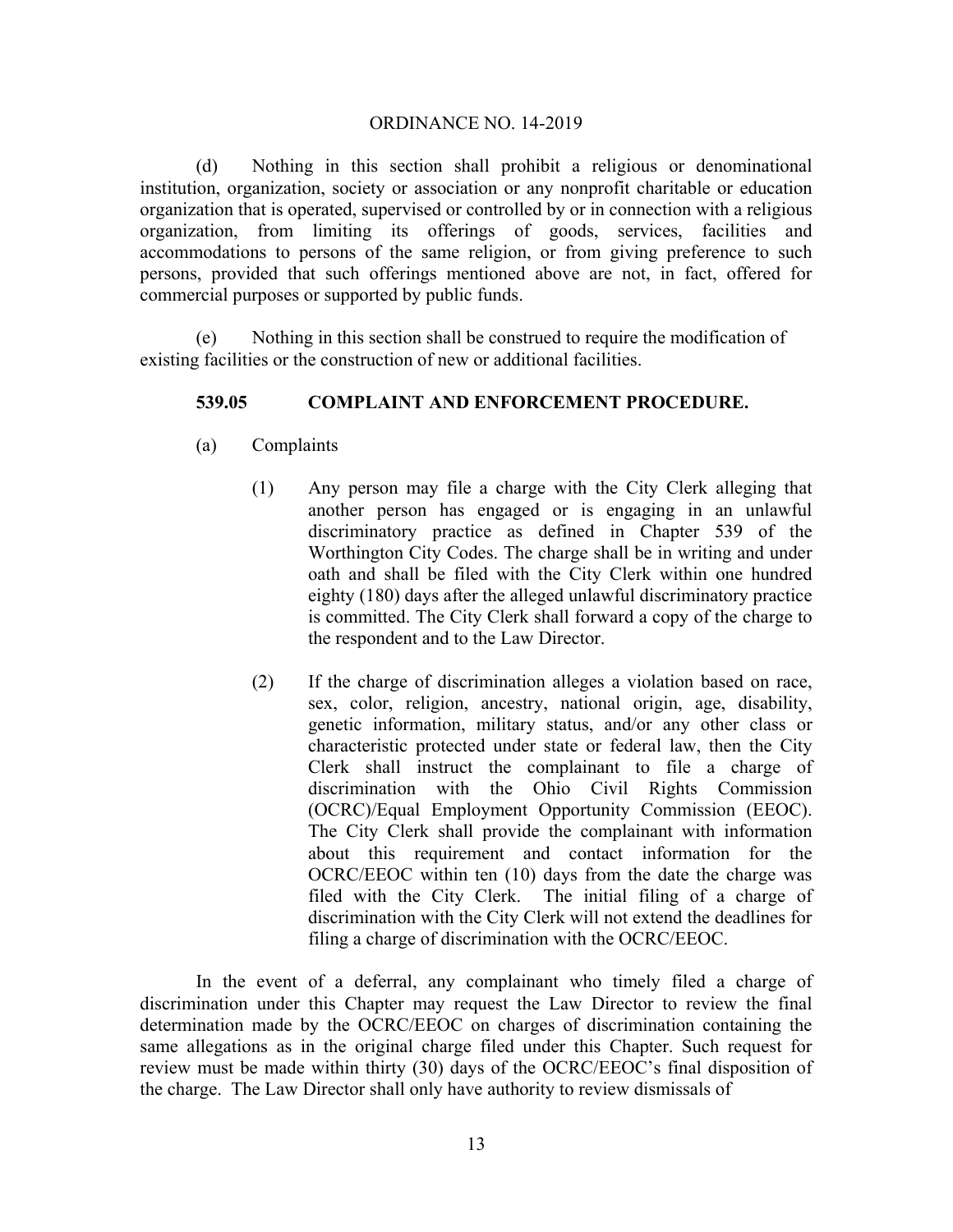(d) Nothing in this section shall prohibit a religious or denominational institution, organization, society or association or any nonprofit charitable or education organization that is operated, supervised or controlled by or in connection with a religious organization, from limiting its offerings of goods, services, facilities and accommodations to persons of the same religion, or from giving preference to such persons, provided that such offerings mentioned above are not, in fact, offered for commercial purposes or supported by public funds.

(e) Nothing in this section shall be construed to require the modification of existing facilities or the construction of new or additional facilities.

## **539.05 COMPLAINT AND ENFORCEMENT PROCEDURE.**

- (a) Complaints
	- (1) Any person may file a charge with the City Clerk alleging that another person has engaged or is engaging in an unlawful discriminatory practice as defined in Chapter 539 of the Worthington City Codes. The charge shall be in writing and under oath and shall be filed with the City Clerk within one hundred eighty (180) days after the alleged unlawful discriminatory practice is committed. The City Clerk shall forward a copy of the charge to the respondent and to the Law Director.
	- (2) If the charge of discrimination alleges a violation based on race, sex, color, religion, ancestry, national origin, age, disability, genetic information, military status, and/or any other class or characteristic protected under state or federal law, then the City Clerk shall instruct the complainant to file a charge of discrimination with the Ohio Civil Rights Commission (OCRC)/Equal Employment Opportunity Commission (EEOC). The City Clerk shall provide the complainant with information about this requirement and contact information for the OCRC/EEOC within ten (10) days from the date the charge was filed with the City Clerk. The initial filing of a charge of discrimination with the City Clerk will not extend the deadlines for filing a charge of discrimination with the OCRC/EEOC.

In the event of a deferral, any complainant who timely filed a charge of discrimination under this Chapter may request the Law Director to review the final determination made by the OCRC/EEOC on charges of discrimination containing the same allegations as in the original charge filed under this Chapter. Such request for review must be made within thirty (30) days of the OCRC/EEOC's final disposition of the charge. The Law Director shall only have authority to review dismissals of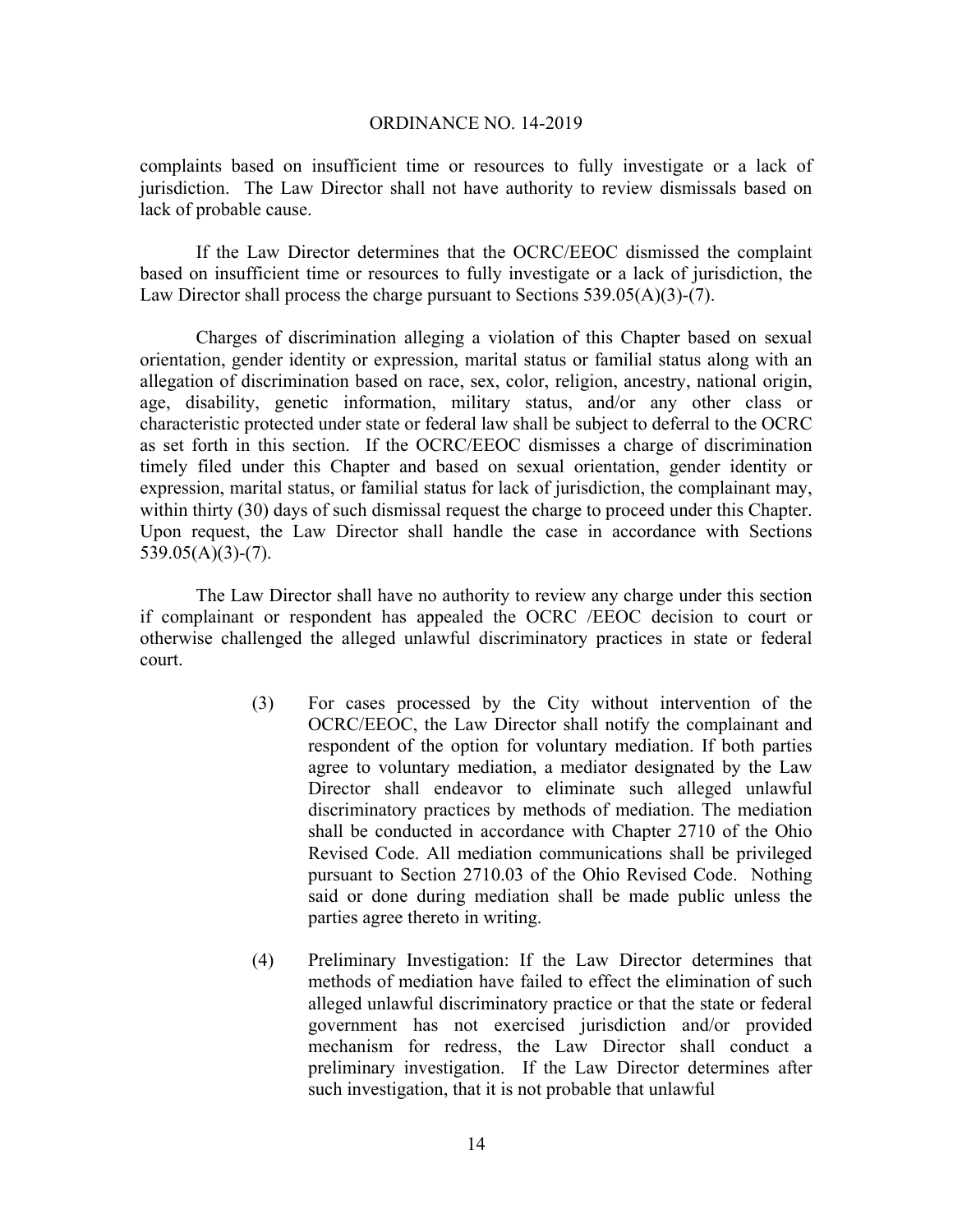complaints based on insufficient time or resources to fully investigate or a lack of jurisdiction. The Law Director shall not have authority to review dismissals based on lack of probable cause.

If the Law Director determines that the OCRC/EEOC dismissed the complaint based on insufficient time or resources to fully investigate or a lack of jurisdiction, the Law Director shall process the charge pursuant to Sections  $539.05(A)(3)-(7)$ .

Charges of discrimination alleging a violation of this Chapter based on sexual orientation, gender identity or expression, marital status or familial status along with an allegation of discrimination based on race, sex, color, religion, ancestry, national origin, age, disability, genetic information, military status, and/or any other class or characteristic protected under state or federal law shall be subject to deferral to the OCRC as set forth in this section. If the OCRC/EEOC dismisses a charge of discrimination timely filed under this Chapter and based on sexual orientation, gender identity or expression, marital status, or familial status for lack of jurisdiction, the complainant may, within thirty (30) days of such dismissal request the charge to proceed under this Chapter. Upon request, the Law Director shall handle the case in accordance with Sections  $539.05(A)(3)-(7)$ .

The Law Director shall have no authority to review any charge under this section if complainant or respondent has appealed the OCRC /EEOC decision to court or otherwise challenged the alleged unlawful discriminatory practices in state or federal court.

- (3) For cases processed by the City without intervention of the OCRC/EEOC, the Law Director shall notify the complainant and respondent of the option for voluntary mediation. If both parties agree to voluntary mediation, a mediator designated by the Law Director shall endeavor to eliminate such alleged unlawful discriminatory practices by methods of mediation. The mediation shall be conducted in accordance with Chapter 2710 of the Ohio Revised Code. All mediation communications shall be privileged pursuant to Section 2710.03 of the Ohio Revised Code. Nothing said or done during mediation shall be made public unless the parties agree thereto in writing.
- (4) Preliminary Investigation: If the Law Director determines that methods of mediation have failed to effect the elimination of such alleged unlawful discriminatory practice or that the state or federal government has not exercised jurisdiction and/or provided mechanism for redress, the Law Director shall conduct a preliminary investigation. If the Law Director determines after such investigation, that it is not probable that unlawful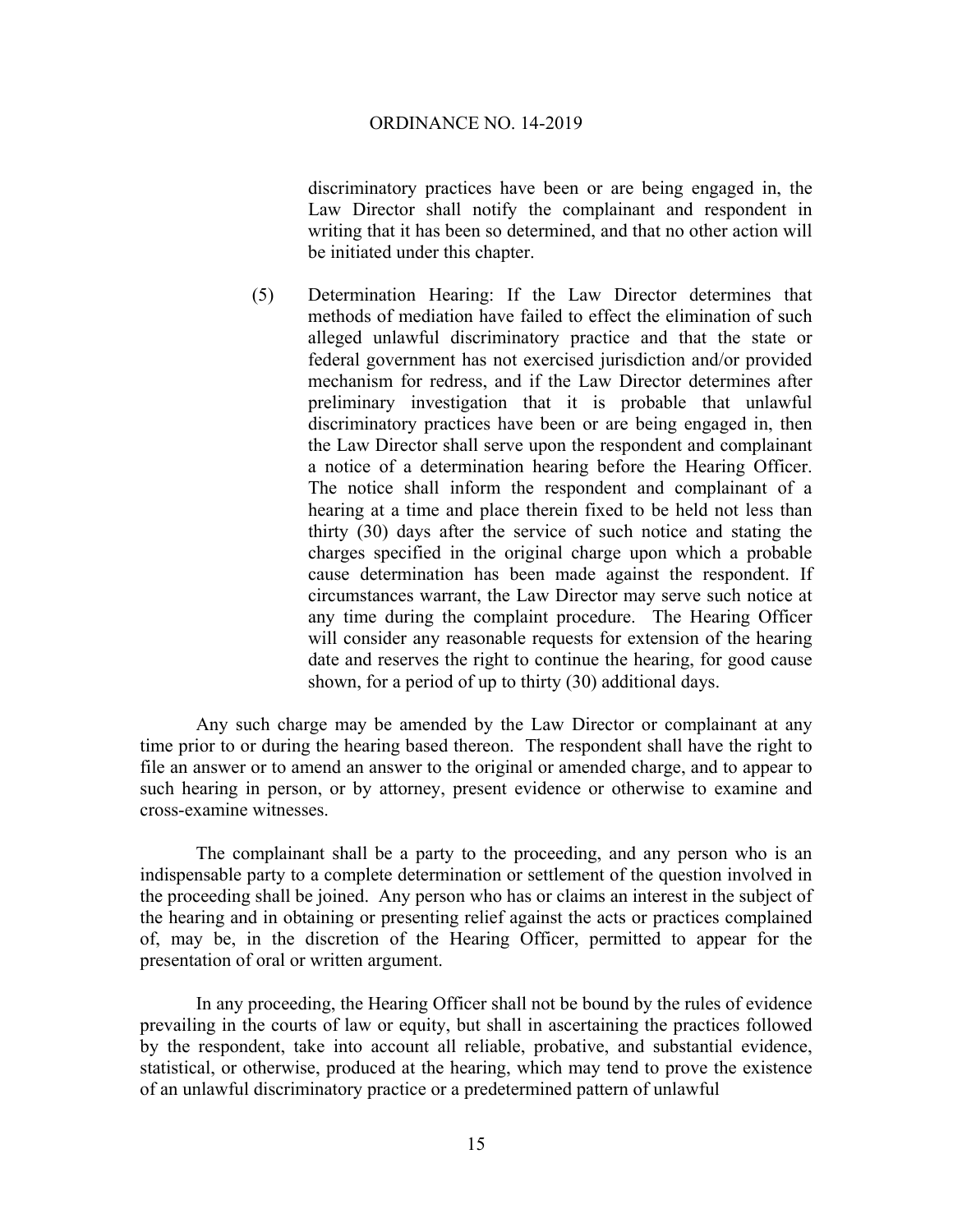discriminatory practices have been or are being engaged in, the Law Director shall notify the complainant and respondent in writing that it has been so determined, and that no other action will be initiated under this chapter.

(5) Determination Hearing: If the Law Director determines that methods of mediation have failed to effect the elimination of such alleged unlawful discriminatory practice and that the state or federal government has not exercised jurisdiction and/or provided mechanism for redress, and if the Law Director determines after preliminary investigation that it is probable that unlawful discriminatory practices have been or are being engaged in, then the Law Director shall serve upon the respondent and complainant a notice of a determination hearing before the Hearing Officer. The notice shall inform the respondent and complainant of a hearing at a time and place therein fixed to be held not less than thirty (30) days after the service of such notice and stating the charges specified in the original charge upon which a probable cause determination has been made against the respondent. If circumstances warrant, the Law Director may serve such notice at any time during the complaint procedure. The Hearing Officer will consider any reasonable requests for extension of the hearing date and reserves the right to continue the hearing, for good cause shown, for a period of up to thirty (30) additional days.

 Any such charge may be amended by the Law Director or complainant at any time prior to or during the hearing based thereon. The respondent shall have the right to file an answer or to amend an answer to the original or amended charge, and to appear to such hearing in person, or by attorney, present evidence or otherwise to examine and cross-examine witnesses.

 The complainant shall be a party to the proceeding, and any person who is an indispensable party to a complete determination or settlement of the question involved in the proceeding shall be joined. Any person who has or claims an interest in the subject of the hearing and in obtaining or presenting relief against the acts or practices complained of, may be, in the discretion of the Hearing Officer, permitted to appear for the presentation of oral or written argument.

 In any proceeding, the Hearing Officer shall not be bound by the rules of evidence prevailing in the courts of law or equity, but shall in ascertaining the practices followed by the respondent, take into account all reliable, probative, and substantial evidence, statistical, or otherwise, produced at the hearing, which may tend to prove the existence of an unlawful discriminatory practice or a predetermined pattern of unlawful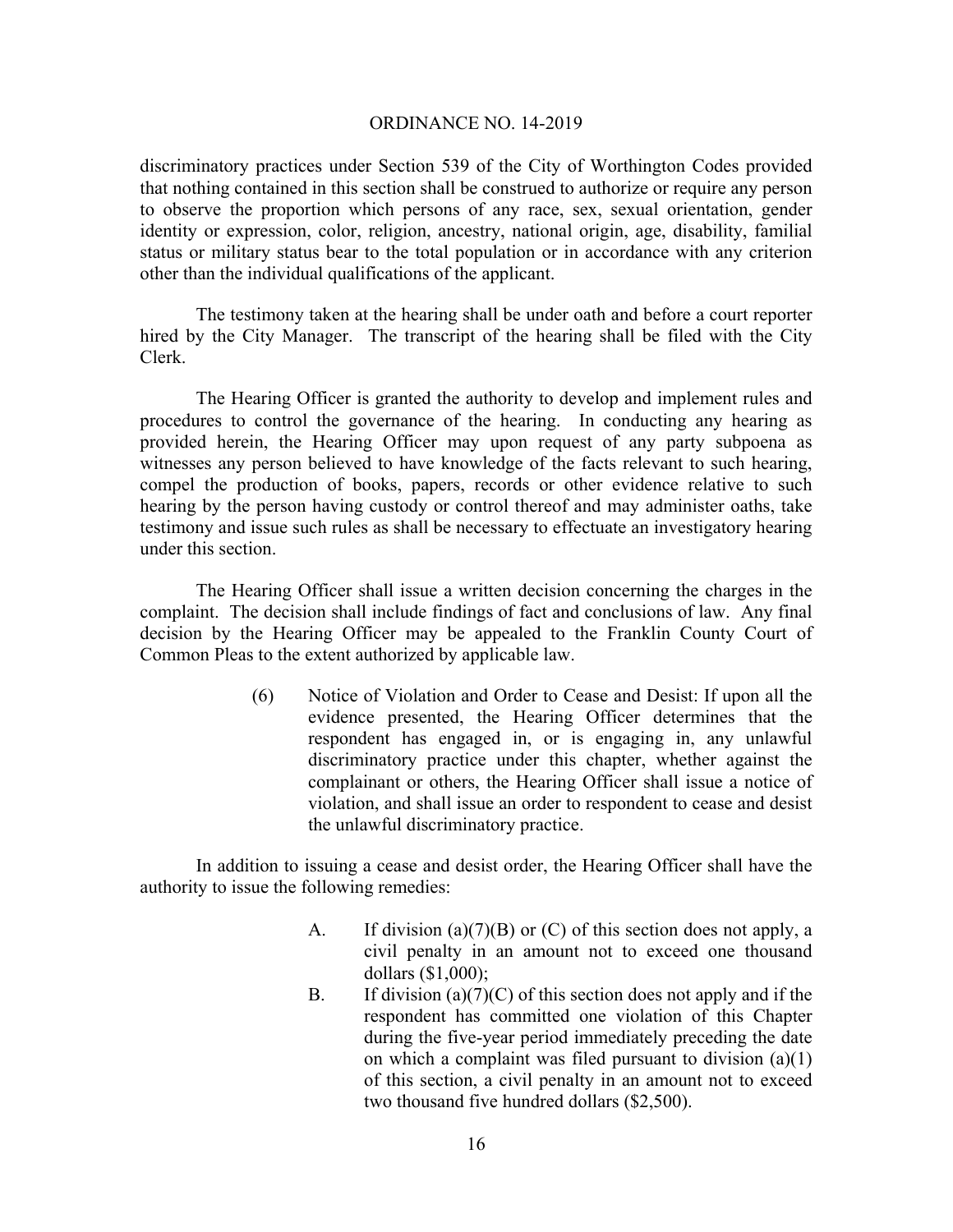discriminatory practices under Section 539 of the City of Worthington Codes provided that nothing contained in this section shall be construed to authorize or require any person to observe the proportion which persons of any race, sex, sexual orientation, gender identity or expression, color, religion, ancestry, national origin, age, disability, familial status or military status bear to the total population or in accordance with any criterion other than the individual qualifications of the applicant.

 The testimony taken at the hearing shall be under oath and before a court reporter hired by the City Manager. The transcript of the hearing shall be filed with the City Clerk.

 The Hearing Officer is granted the authority to develop and implement rules and procedures to control the governance of the hearing. In conducting any hearing as provided herein, the Hearing Officer may upon request of any party subpoena as witnesses any person believed to have knowledge of the facts relevant to such hearing, compel the production of books, papers, records or other evidence relative to such hearing by the person having custody or control thereof and may administer oaths, take testimony and issue such rules as shall be necessary to effectuate an investigatory hearing under this section.

The Hearing Officer shall issue a written decision concerning the charges in the complaint. The decision shall include findings of fact and conclusions of law. Any final decision by the Hearing Officer may be appealed to the Franklin County Court of Common Pleas to the extent authorized by applicable law.

> (6) Notice of Violation and Order to Cease and Desist: If upon all the evidence presented, the Hearing Officer determines that the respondent has engaged in, or is engaging in, any unlawful discriminatory practice under this chapter, whether against the complainant or others, the Hearing Officer shall issue a notice of violation, and shall issue an order to respondent to cease and desist the unlawful discriminatory practice.

In addition to issuing a cease and desist order, the Hearing Officer shall have the authority to issue the following remedies:

- A. If division (a)(7)(B) or (C) of this section does not apply, a civil penalty in an amount not to exceed one thousand dollars (\$1,000);
- B. If division (a)(7)(C) of this section does not apply and if the respondent has committed one violation of this Chapter during the five-year period immediately preceding the date on which a complaint was filed pursuant to division (a)(1) of this section, a civil penalty in an amount not to exceed two thousand five hundred dollars (\$2,500).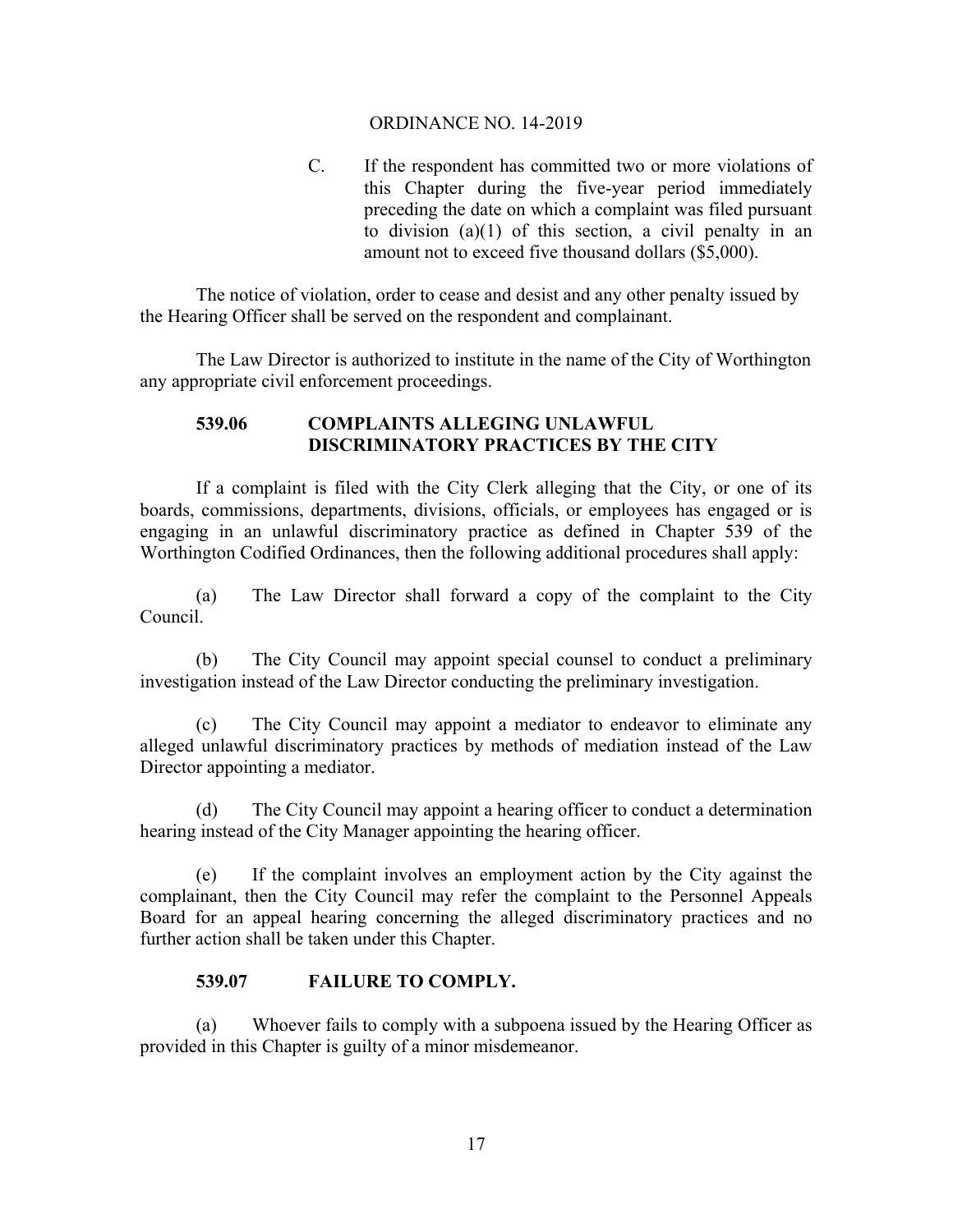C. If the respondent has committed two or more violations of this Chapter during the five-year period immediately preceding the date on which a complaint was filed pursuant to division (a)(1) of this section, a civil penalty in an amount not to exceed five thousand dollars (\$5,000).

 The notice of violation, order to cease and desist and any other penalty issued by the Hearing Officer shall be served on the respondent and complainant.

The Law Director is authorized to institute in the name of the City of Worthington any appropriate civil enforcement proceedings.

# **539.06 COMPLAINTS ALLEGING UNLAWFUL DISCRIMINATORY PRACTICES BY THE CITY**

If a complaint is filed with the City Clerk alleging that the City, or one of its boards, commissions, departments, divisions, officials, or employees has engaged or is engaging in an unlawful discriminatory practice as defined in Chapter 539 of the Worthington Codified Ordinances, then the following additional procedures shall apply:

(a) The Law Director shall forward a copy of the complaint to the City Council.

(b) The City Council may appoint special counsel to conduct a preliminary investigation instead of the Law Director conducting the preliminary investigation.

(c) The City Council may appoint a mediator to endeavor to eliminate any alleged unlawful discriminatory practices by methods of mediation instead of the Law Director appointing a mediator.

(d) The City Council may appoint a hearing officer to conduct a determination hearing instead of the City Manager appointing the hearing officer.

(e) If the complaint involves an employment action by the City against the complainant, then the City Council may refer the complaint to the Personnel Appeals Board for an appeal hearing concerning the alleged discriminatory practices and no further action shall be taken under this Chapter.

# **539.07 FAILURE TO COMPLY.**

(a) Whoever fails to comply with a subpoena issued by the Hearing Officer as provided in this Chapter is guilty of a minor misdemeanor.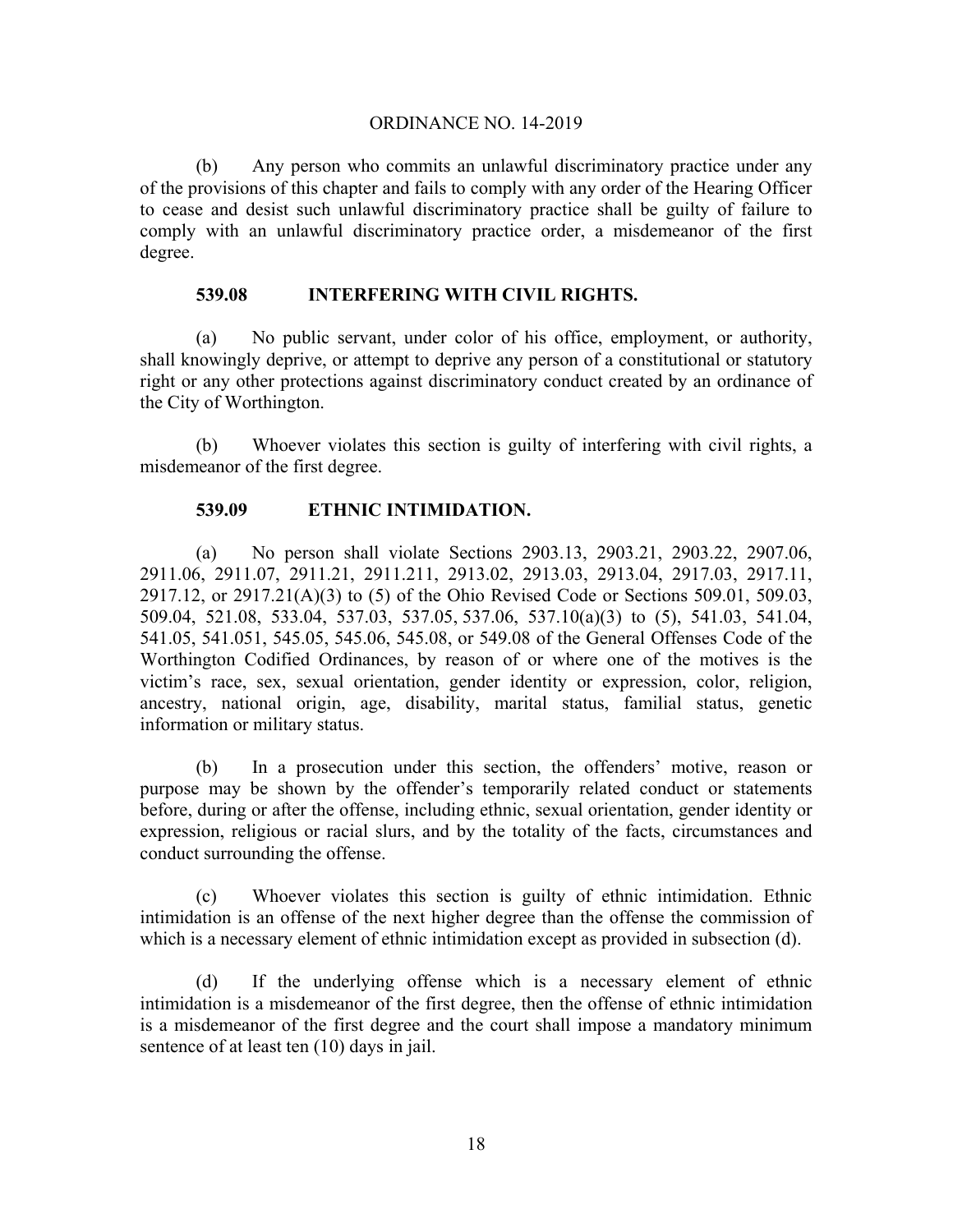(b) Any person who commits an unlawful discriminatory practice under any of the provisions of this chapter and fails to comply with any order of the Hearing Officer to cease and desist such unlawful discriminatory practice shall be guilty of failure to comply with an unlawful discriminatory practice order, a misdemeanor of the first degree.

## **539.08 INTERFERING WITH CIVIL RIGHTS.**

(a) No public servant, under color of his office, employment, or authority, shall knowingly deprive, or attempt to deprive any person of a constitutional or statutory right or any other protections against discriminatory conduct created by an ordinance of the City of Worthington.

(b) Whoever violates this section is guilty of interfering with civil rights, a misdemeanor of the first degree.

## **539.09 ETHNIC INTIMIDATION.**

(a) No person shall violate Sections 2903.13, 2903.21, 2903.22, 2907.06, 2911.06, 2911.07, 2911.21, 2911.211, 2913.02, 2913.03, 2913.04, 2917.03, 2917.11, 2917.12, or 2917.21(A)(3) to (5) of the Ohio Revised Code or Sections 509.01, 509.03, 509.04, 521.08, 533.04, 537.03, 537.05, 537.06, 537.10(a)(3) to (5), 541.03, 541.04, 541.05, 541.051, 545.05, 545.06, 545.08, or 549.08 of the General Offenses Code of the Worthington Codified Ordinances, by reason of or where one of the motives is the victim's race, sex, sexual orientation, gender identity or expression, color, religion, ancestry, national origin, age, disability, marital status, familial status, genetic information or military status.

(b) In a prosecution under this section, the offenders' motive, reason or purpose may be shown by the offender's temporarily related conduct or statements before, during or after the offense, including ethnic, sexual orientation, gender identity or expression, religious or racial slurs, and by the totality of the facts, circumstances and conduct surrounding the offense.

(c) Whoever violates this section is guilty of ethnic intimidation. Ethnic intimidation is an offense of the next higher degree than the offense the commission of which is a necessary element of ethnic intimidation except as provided in subsection (d).

(d) If the underlying offense which is a necessary element of ethnic intimidation is a misdemeanor of the first degree, then the offense of ethnic intimidation is a misdemeanor of the first degree and the court shall impose a mandatory minimum sentence of at least ten (10) days in jail.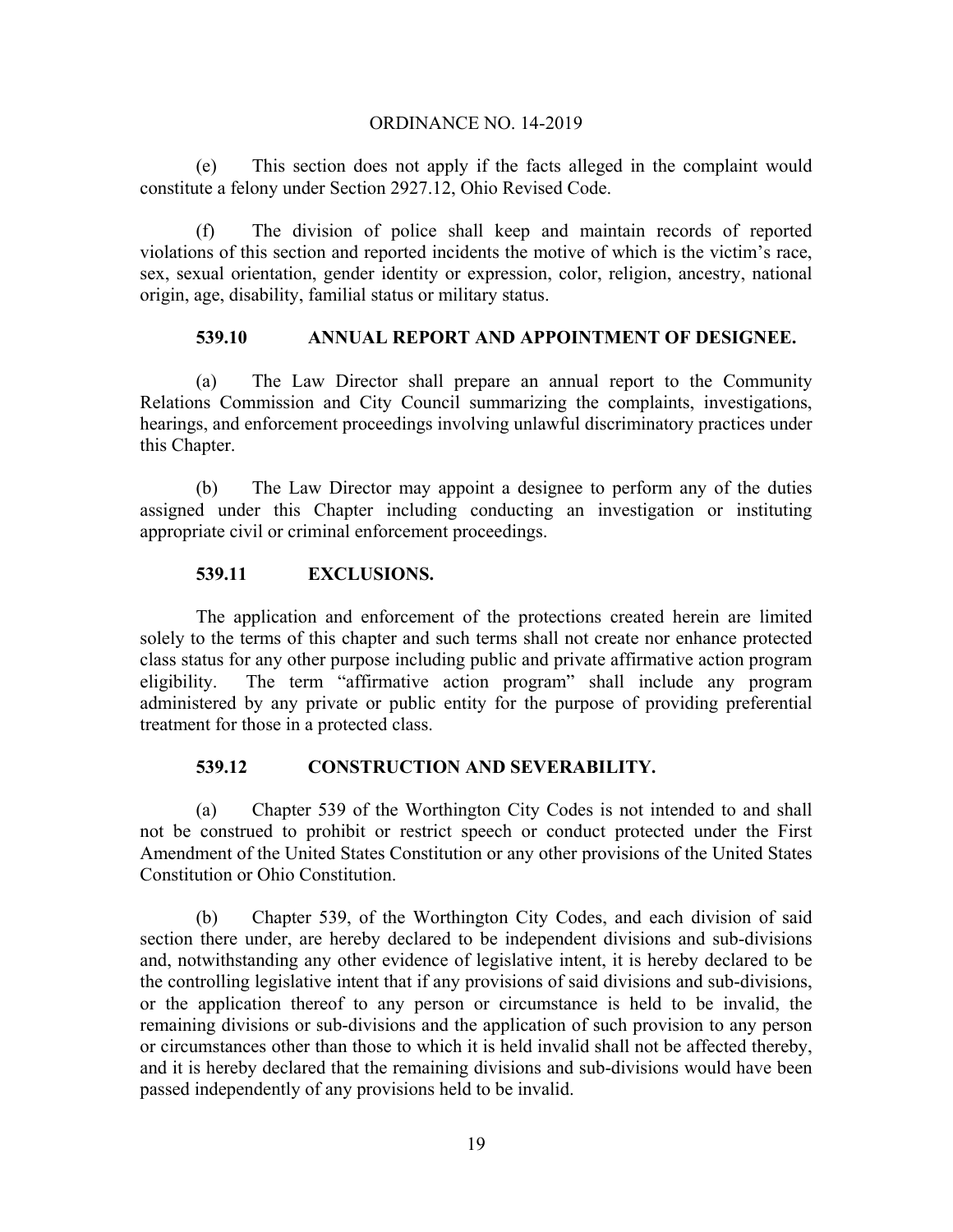(e) This section does not apply if the facts alleged in the complaint would constitute a felony under Section 2927.12, Ohio Revised Code.

(f) The division of police shall keep and maintain records of reported violations of this section and reported incidents the motive of which is the victim's race, sex, sexual orientation, gender identity or expression, color, religion, ancestry, national origin, age, disability, familial status or military status.

# **539.10 ANNUAL REPORT AND APPOINTMENT OF DESIGNEE.**

(a) The Law Director shall prepare an annual report to the Community Relations Commission and City Council summarizing the complaints, investigations, hearings, and enforcement proceedings involving unlawful discriminatory practices under this Chapter.

(b) The Law Director may appoint a designee to perform any of the duties assigned under this Chapter including conducting an investigation or instituting appropriate civil or criminal enforcement proceedings.

# **539.11 EXCLUSIONS.**

The application and enforcement of the protections created herein are limited solely to the terms of this chapter and such terms shall not create nor enhance protected class status for any other purpose including public and private affirmative action program eligibility. The term "affirmative action program" shall include any program administered by any private or public entity for the purpose of providing preferential treatment for those in a protected class.

# **539.12 CONSTRUCTION AND SEVERABILITY.**

(a) Chapter 539 of the Worthington City Codes is not intended to and shall not be construed to prohibit or restrict speech or conduct protected under the First Amendment of the United States Constitution or any other provisions of the United States Constitution or Ohio Constitution.

(b) Chapter 539, of the Worthington City Codes, and each division of said section there under, are hereby declared to be independent divisions and sub-divisions and, notwithstanding any other evidence of legislative intent, it is hereby declared to be the controlling legislative intent that if any provisions of said divisions and sub-divisions, or the application thereof to any person or circumstance is held to be invalid, the remaining divisions or sub-divisions and the application of such provision to any person or circumstances other than those to which it is held invalid shall not be affected thereby, and it is hereby declared that the remaining divisions and sub-divisions would have been passed independently of any provisions held to be invalid.